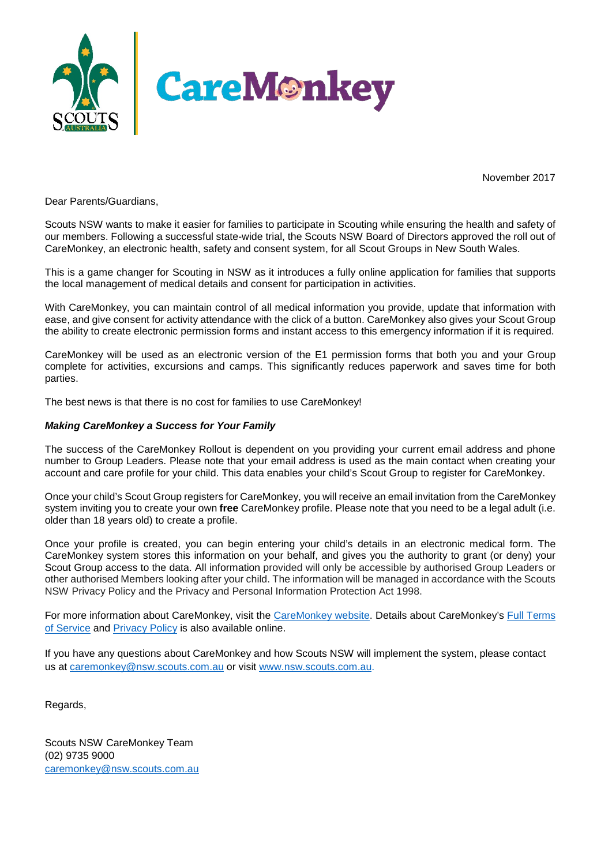

November 2017

Dear Parents/Guardians,

Scouts NSW wants to make it easier for families to participate in Scouting while ensuring the health and safety of our members. Following a successful state-wide trial, the Scouts NSW Board of Directors approved the roll out of CareMonkey, an electronic health, safety and consent system, for all Scout Groups in New South Wales.

This is a game changer for Scouting in NSW as it introduces a fully online application for families that supports the local management of medical details and consent for participation in activities.

With CareMonkey, you can maintain control of all medical information you provide, update that information with ease, and give consent for activity attendance with the click of a button. CareMonkey also gives your Scout Group the ability to create electronic permission forms and instant access to this emergency information if it is required.

CareMonkey will be used as an electronic version of the E1 permission forms that both you and your Group complete for activities, excursions and camps. This significantly reduces paperwork and saves time for both parties.

The best news is that there is no cost for families to use CareMonkey!

#### *Making CareMonkey a Success for Your Family*

The success of the CareMonkey Rollout is dependent on you providing your current email address and phone number to Group Leaders. Please note that your email address is used as the main contact when creating your account and care profile for your child. This data enables your child's Scout Group to register for CareMonkey.

Once your child's Scout Group registers for CareMonkey, you will receive an email invitation from the CareMonkey system inviting you to create your own **free** CareMonkey profile. Please note that you need to be a legal adult (i.e. older than 18 years old) to create a profile.

Once your profile is created, you can begin entering your child's details in an electronic medical form. The CareMonkey system stores this information on your behalf, and gives you the authority to grant (or deny) your Scout Group access to the data. All information provided will only be accessible by authorised Group Leaders or other authorised Members looking after your child. The information will be managed in accordance with the Scouts NSW Privacy Policy and the Privacy and Personal Information Protection Act 1998.

For more information about CareMonkey, visit the [CareMonkey website.](http://www.caremonkey.com/) Details about CareMonkey's [Full Terms](https://www.caremonkey.com/terms/)  [of Service](https://www.caremonkey.com/terms/) and [Privacy Policy](https://www.caremonkey.com/privacy-policy/) is also available online.

If you have any questions about CareMonkey and how Scouts NSW will implement the system, please contact us at [caremonkey@nsw.scouts.com.au](mailto:caremonkey@nsw.scouts.com.au) or visit [www.nsw.scouts.com.au.](http://www.nsw.scouts.com.au/)

Regards,

Scouts NSW CareMonkey Team (02) 9735 9000 [caremonkey@nsw.scouts.com.au](mailto:caremonkey@nsw.scouts.com.au)